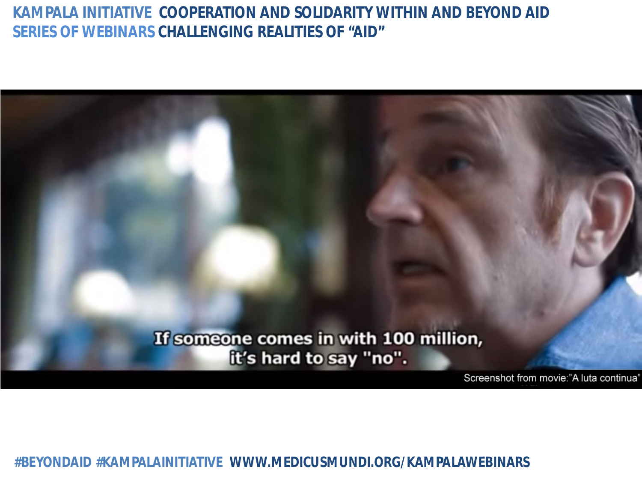

**#BEYONDAID #KAMPALAINITIATIVE WWW.MEDICUSMUNDI.ORG/KAMPALAWEBINARS**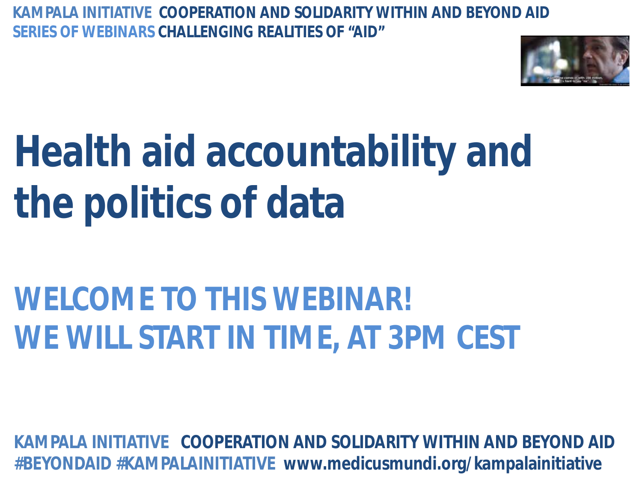

## **Health aid accountability and the politics of data**

## **WELCOME TO THIS WEBINAR! WE WILL START IN TIME, AT 3PM CEST**

**KAMPALA INITIATIVE COOPERATION AND SOLIDARITY WITHIN AND BEYOND AID #BEYONDAID #KAMPALAINITIATIVE www.medicusmundi.org/kampalainitiative**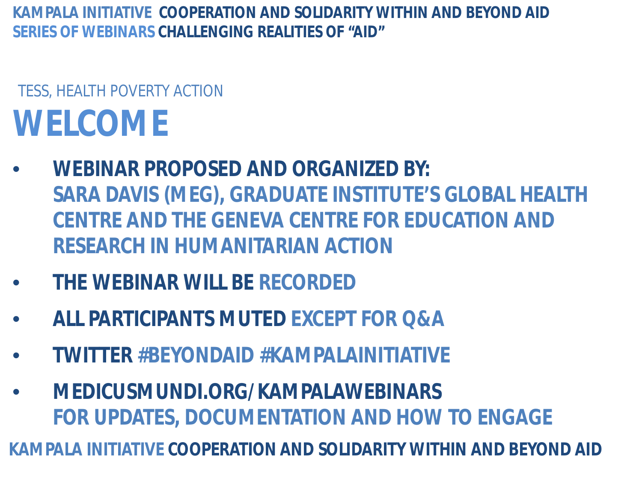### **WELCOME** TESS, HEALTH POVERTY ACTION

- **WEBINAR PROPOSED AND ORGANIZED BY: SARA DAVIS (MEG), GRADUATE INSTITUTE'S GLOBAL HEALTH CENTRE AND THE GENEVA CENTRE FOR EDUCATION AND RESEARCH IN HUMANITARIAN ACTION**
- **THE WEBINAR WILL BE RECORDED**
- **ALL PARTICIPANTS MUTED EXCEPT FOR Q&A**
- **TWITTER #BEYONDAID #KAMPALAINITIATIVE**
- **MEDICUSMUNDI.ORG/KAMPALAWEBINARS FOR UPDATES, DOCUMENTATION AND HOW TO ENGAGE**

**KAMPALA INITIATIVE COOPERATION AND SOLIDARITY WITHIN AND BEYOND AID**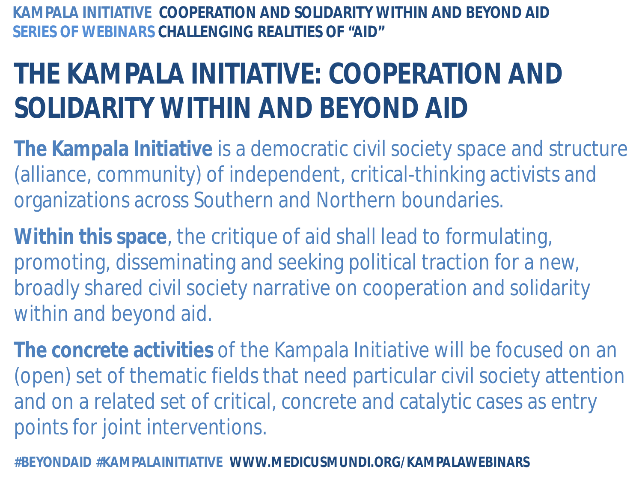## **THE KAMPALA INITIATIVE: COOPERATION AND SOLIDARITY WITHIN AND BEYOND AID**

- **The Kampala Initiative** is a democratic civil society space and structure (alliance, community) of independent, critical-thinking activists and organizations across Southern and Northern boundaries.
- **Within this space**, the critique of aid shall lead to formulating, promoting, disseminating and seeking political traction for a new, broadly shared civil society narrative on cooperation and solidarity within and beyond aid.
- **The concrete activities** of the Kampala Initiative will be focused on an (open) set of thematic fields that need particular civil society attention and on a related set of critical, concrete and catalytic cases as entry points for joint interventions.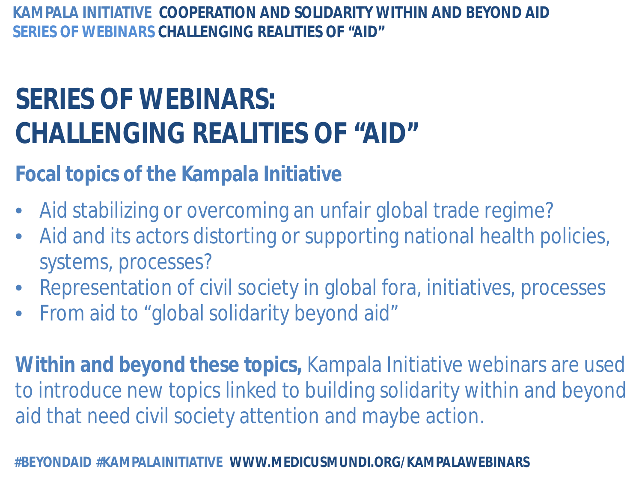## **SERIES OF WEBINARS: CHALLENGING REALITIES OF "AID"**

#### **Focal topics of the Kampala Initiative**

- Aid stabilizing or overcoming an unfair global trade regime?
- Aid and its actors distorting or supporting national health policies, systems, processes?
- Representation of civil society in global fora, initiatives, processes
- From aid to "global solidarity beyond aid"

**Within and beyond these topics,** Kampala Initiative webinars are used to introduce new topics linked to building solidarity within and beyond aid that need civil society attention and maybe action.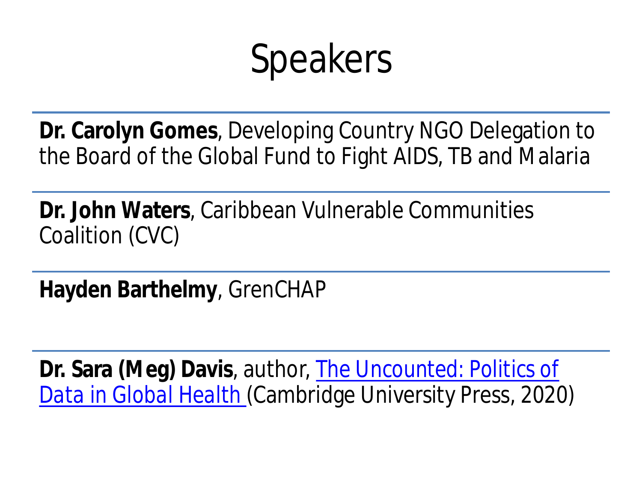## Speakers

**Dr. Carolyn Gomes**, Developing Country NGO Delegation to the Board of the Global Fund to Fight AIDS, TB and Malaria

**Dr. John Waters**, Caribbean Vulnerable Communities Coalition (CVC)

**Hayden Barthelmy**, GrenCHAP

**Dr. Sara (Meg) Davis**, [a](http://uncountedbook.com/)uthor, *[The Uncounted: Politics of](http://uncountedbook.com/)  [Data in Global Health](http://uncountedbook.com/)* (Cambridge University Press, 2020)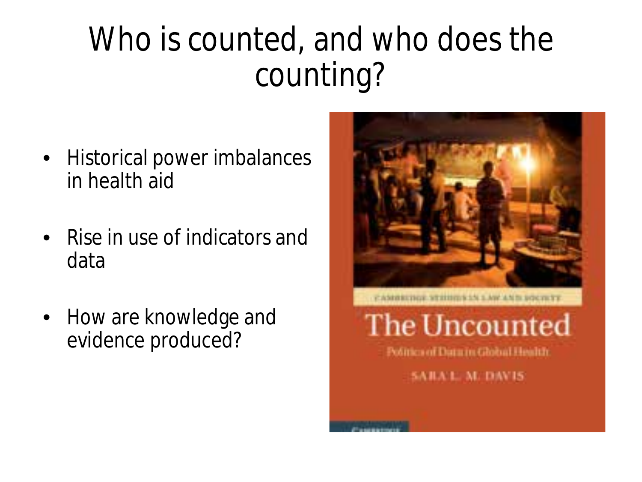## Who is counted, and who does the counting?

- Historical power imbalances in health aid
- Rise in use of indicators and data
- How are knowledge and evidence produced?

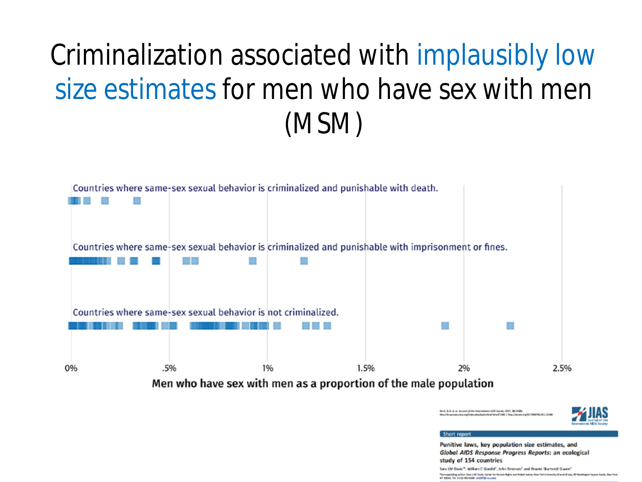## Criminalization associated with implausibly low size estimates for men who have sex with men (MSM)



Men who have sex with men as a proportion of the male population

all S.M at al. Joseph of the International APR Society 2017, 20-21200 cien, arg<sup>a</sup>ndes phalling article/struct 1366 | Help //dc.doi.org/63.3488/ML3G1.2G8

Punitive laws, key population size estimates, and Global AIDS Response Progress Reports: an ecological study of 154 countries

Sara LM Davis<sup>18</sup>, William C Goedel<sup>2</sup>, John Frnemon<sup>1</sup> and Brooke Skartveck Guven<sup>1</sup> <sup>N</sup>ierugandeg achor: San LM Dade, Gener for Human Nights and Gobal Justice, New York University School of Lea, 40 Weshington Square South, New York,<br>Air 19202, Twi: 1-212-002-0206. (AGDTAP-result)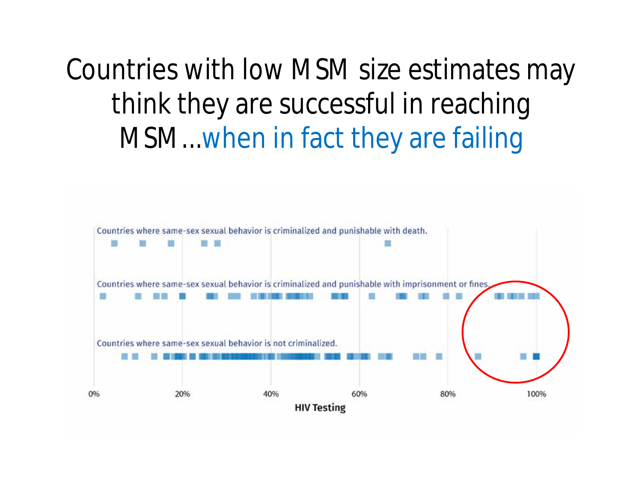## Countries with low MSM size estimates may think they are successful in reaching MSM...when in fact they are failing

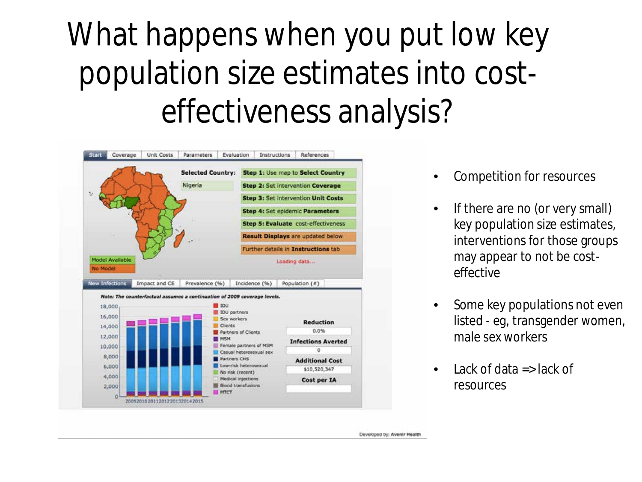## What happens when you put low key population size estimates into costeffectiveness analysis?



- Competition for resources
- If there are no (or very small) key population size estimates, interventions for those groups may appear to not be costeffective
- Some key populations not even listed - eg, transgender women, male sex workers
- **Lack of data**  $\Rightarrow$  **lack of** resources

Developed by: Avenir Health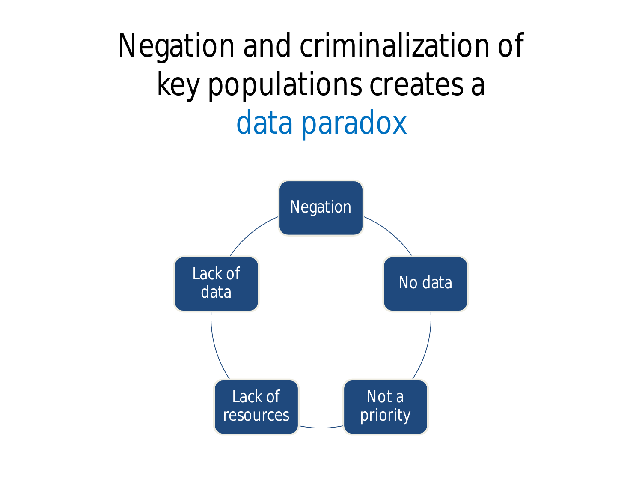Negation and criminalization of key populations creates a data paradox

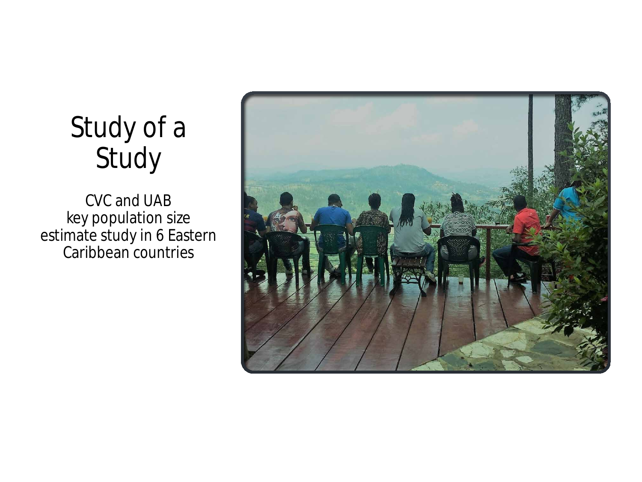

### Study of a Study

CVC and UAB key population size estimate study in 6 Eastern Caribbean countries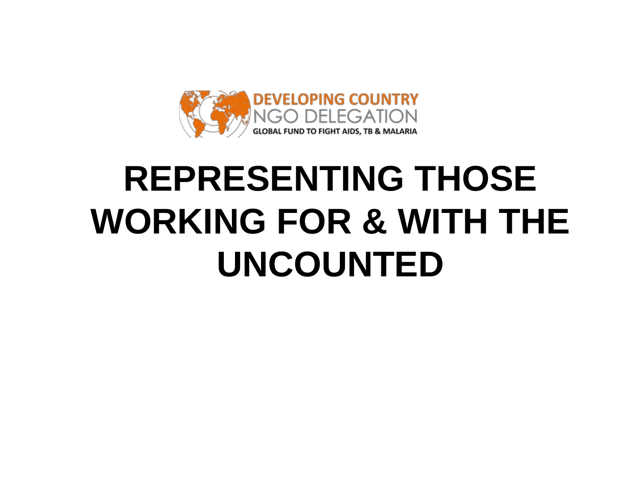

## **REPRESENTING THOSE WORKING FOR & WITH THE UNCOUNTED**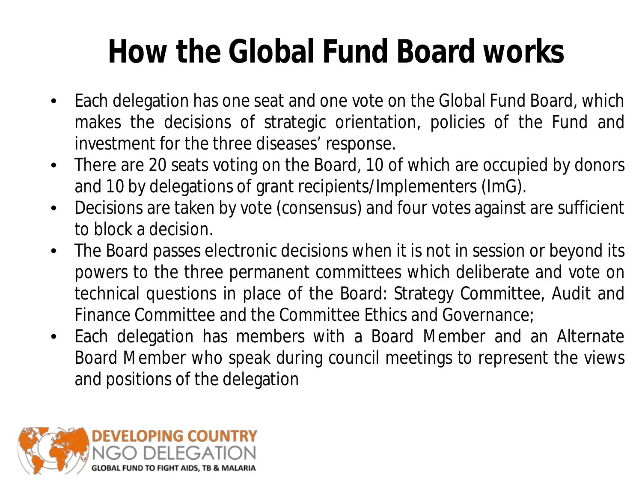## **How the Global Fund Board works**

- Each delegation has one seat and one vote on the Global Fund Board, which makes the decisions of strategic orientation, policies of the Fund and investment for the three diseases' response.
- There are 20 seats voting on the Board, 10 of which are occupied by donors and 10 by delegations of grant recipients/Implementers (ImG).
- Decisions are taken by vote (consensus) and four votes against are sufficient to block a decision.
- The Board passes electronic decisions when it is not in session or beyond its powers to the three permanent committees which deliberate and vote on technical questions in place of the Board: Strategy Committee, Audit and Finance Committee and the Committee Ethics and Governance;
- Each delegation has members with a Board Member and an Alternate Board Member who speak during council meetings to represent the views and positions of the delegation

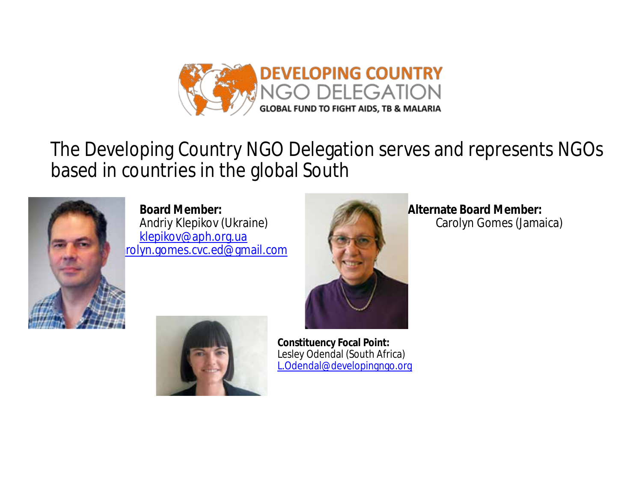

#### The Developing Country NGO Delegation serves and represents NGOs based in countries in the global South



 **Board Member: Alternate Board Member: Alternate Board Member: Andriy Klepikov (Ukraine) Alternate Board Member: Carolyn Gomes (Jamaica)** Andriy Klepikov (Ukraine) [klepikov@aph.org.ua](mailto:klepikov@aph.org.ua) rolyn.gomes.cvc.ed@gmail.com





 **Constituency Focal Point:** Lesley Odendal (South Africa) [L.Odendal@developingngo.org](mailto:L.Odendal@developingngo.org)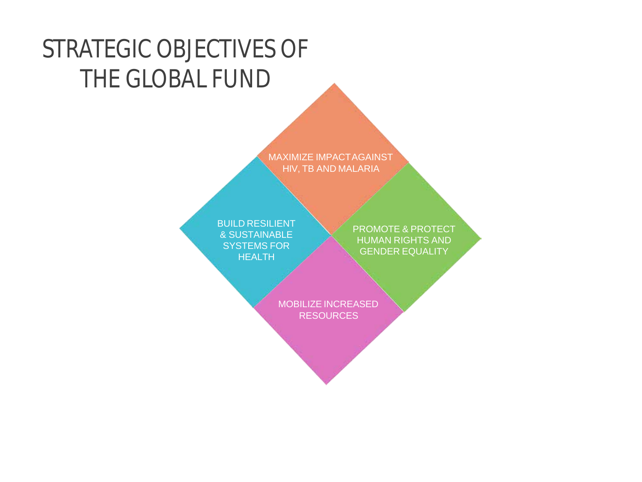### STRATEGIC OBJECTIVES OF THE GLOBAL FUND

MAXIMIZE IMPACTAGAINST HIV, TB AND MALARIA

BUILD RESILIENT & SUSTAINABLE SYSTEMS FOR HEALTH

PROMOTE & PROTECT HUMAN RIGHTS AND GENDER EQUALITY

MOBILIZE INCREASED **RESOURCES**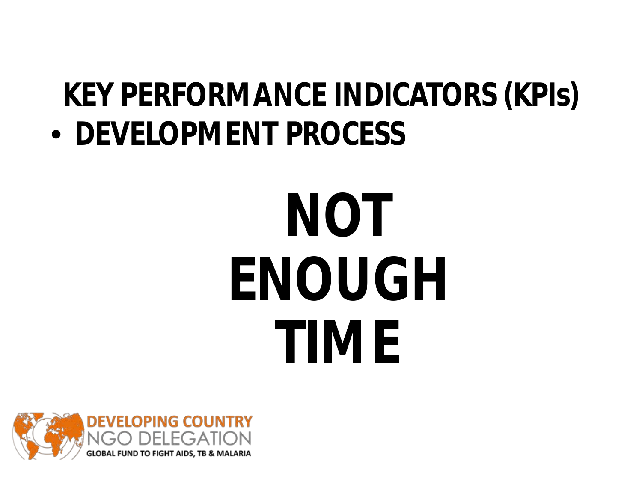## **KEY PERFORMANCE INDICATORS (KPIs)**

• **DEVELOPMENT PROCESS**

# **NOT ENOUGH TIME**

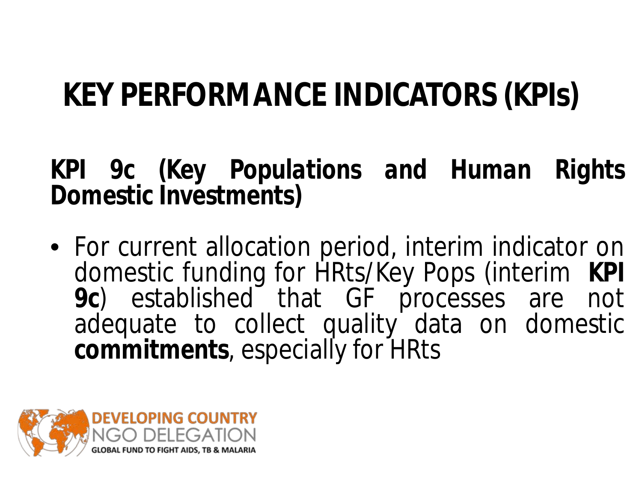## **KEY PERFORMANCE INDICATORS (KPIs)**

#### **KPI 9c** *(Key Populations and Human Rights Domestic Investments)*

• For current allocation period, interim indicator on domestic funding for HRts/Key Pops (interim KPI<br>9c) established that GF processes are not adequate to collect quality data on domestic<br>commitments, especially for HRts

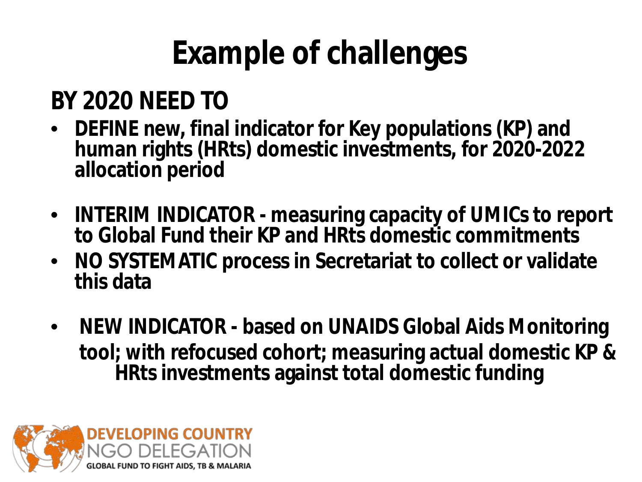## **Example of challenges**

### **BY 2020 NEED TO**

- **DEFINE new, final indicator for Key populations (KP) and human rights (HRts) domestic investments, for 2020-2022 allocation period**
- **INTERIM INDICATOR - measuring capacity of UMICs to report to Global Fund their KP and HRts domestic commitments**
- **NO SYSTEMATIC process in Secretariat to collect or validate this data**
- **NEW INDICATOR - based on UNAIDS Global Aids Monitoring tool; with refocused cohort; measuring actual domestic KP & HRts investments against total domestic funding**

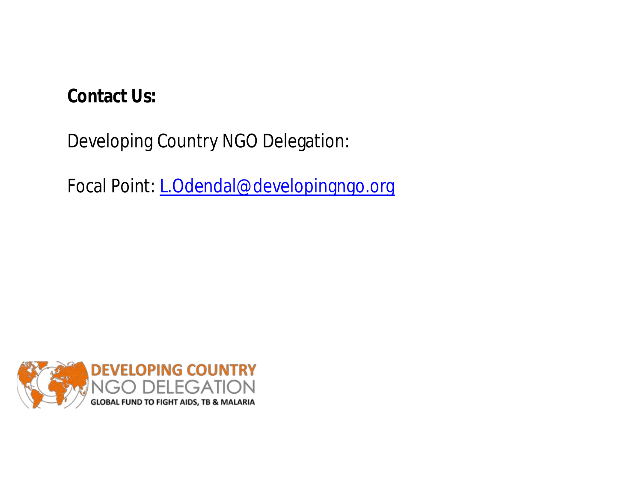#### **Contact Us:**

Developing Country NGO Delegation:

Focal Point: *L.Odendal@developingngo.org* 

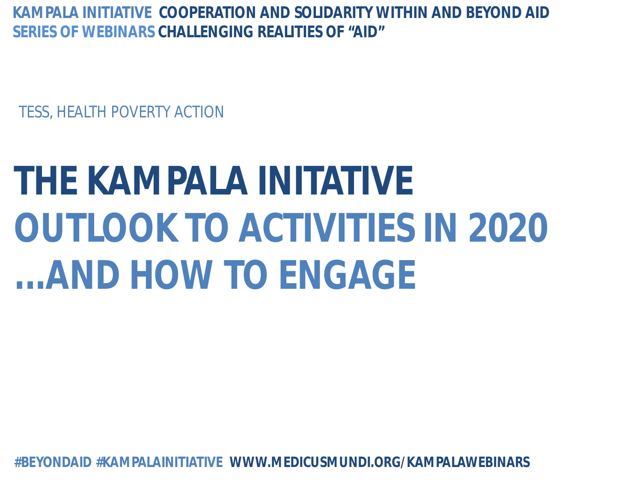TESS, HEALTH POVERTY ACTION

## **THE KAMPALA INITATIVE OUTLOOK TO ACTIVITIES IN 2020 ...AND HOW TO ENGAGE**

**#BEYONDAID #KAMPALAINITIATIVE WWW.MEDICUSMUNDI.ORG/KAMPALAWEBINARS**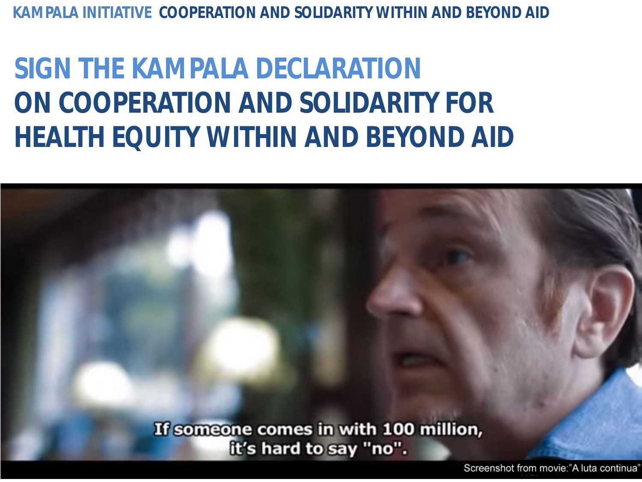**KAMPALA INITIATIVE COOPERATION AND SOLIDARITY WITHIN AND BEYOND AID** 

## **SIGN THE KAMPALA DECLARATION ON COOPERATION AND SOLIDARITY FOR HEALTH EQUITY WITHIN AND BEYOND AID**

If someone comes in with 100 million, it's hard to say "no".

Screenshot from movie:"A luta continua'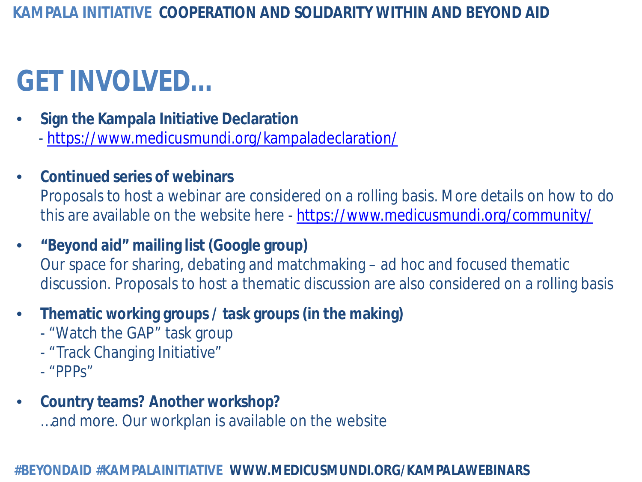## **GET INVOLVED…**

- **Sign the Kampala Initiative Declaration** - <https://www.medicusmundi.org/kampaladeclaration/>
- **Continued series of webinars** Proposals to host a webinar are considered on a rolling basis. More details on how to do this are available on the website here - <https://www.medicusmundi.org/community/>
- **"Beyond aid" mailing list (Google group)**  Our space for sharing, debating and matchmaking – ad hoc and focused thematic discussion. Proposals to host a thematic discussion are also considered on a rolling basis
- **Thematic working groups / task groups (in the making)**
	- "Watch the GAP" task group
	- "Track Changing Initiative"
	- "PPPs"
- **Country teams? Another workshop?** …and more. Our workplan is available on the website

#### **#BEYONDAID #KAMPALAINITIATIVE WWW.MEDICUSMUNDI.ORG/KAMPALAWEBINARS**